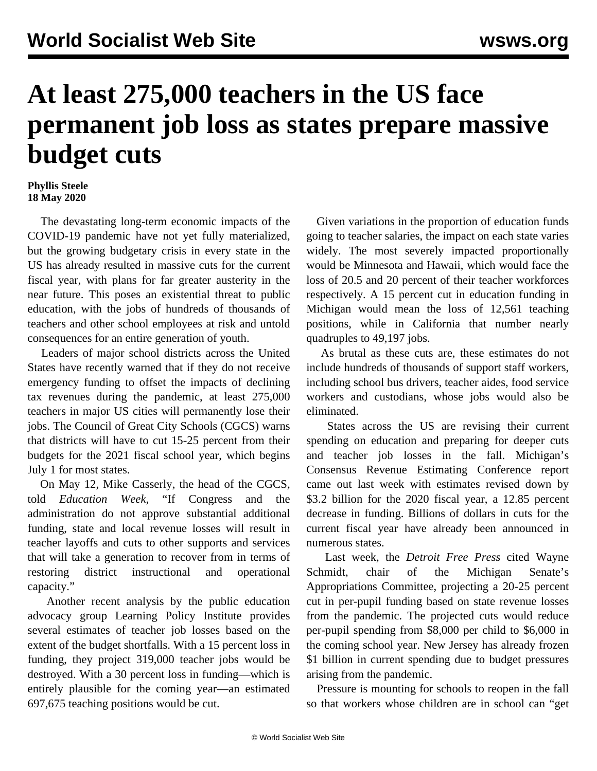## **At least 275,000 teachers in the US face permanent job loss as states prepare massive budget cuts**

## **Phyllis Steele 18 May 2020**

 The devastating long-term economic impacts of the COVID-19 pandemic have not yet fully materialized, but the growing budgetary crisis in every state in the US has already resulted in massive cuts for the current fiscal year, with plans for far greater austerity in the near future. This poses an existential threat to public education, with the jobs of hundreds of thousands of teachers and other school employees at risk and untold consequences for an entire generation of youth.

 Leaders of major school districts across the United States have recently warned that if they do not receive emergency funding to offset the impacts of declining tax revenues during the pandemic, at least 275,000 teachers in major US cities will permanently lose their jobs. The Council of Great City Schools (CGCS) warns that districts will have to cut 15-25 percent from their budgets for the 2021 fiscal school year, which begins July 1 for most states.

 On May 12, Mike Casserly, the head of the CGCS*,* told *Education Week*, "If Congress and the administration do not approve substantial additional funding, state and local revenue losses will result in teacher layoffs and cuts to other supports and services that will take a generation to recover from in terms of restoring district instructional and operational capacity."

 Another recent analysis by the public education advocacy group Learning Policy Institute provides several estimates of teacher job losses based on the extent of the budget shortfalls. With a 15 percent loss in funding, they project 319,000 teacher jobs would be destroyed. With a 30 percent loss in funding—which is entirely plausible for the coming year—an estimated 697,675 teaching positions would be cut.

 Given variations in the proportion of education funds going to teacher salaries, the impact on each state varies widely. The most severely impacted proportionally would be Minnesota and Hawaii, which would face the loss of 20.5 and 20 percent of their teacher workforces respectively. A 15 percent cut in education funding in Michigan would mean the loss of 12,561 teaching positions, while in California that number nearly quadruples to 49,197 jobs.

 As brutal as these cuts are, these estimates do not include hundreds of thousands of support staff workers, including school bus drivers, teacher aides, food service workers and custodians, whose jobs would also be eliminated.

 States across the US are revising their current spending on education and preparing for deeper cuts and teacher job losses in the fall. Michigan's Consensus Revenue Estimating Conference report came out last week with estimates revised down by \$3.2 billion for the 2020 fiscal year, a 12.85 percent decrease in funding. Billions of dollars in cuts for the current fiscal year have [already been announced](/en/articles/2020/05/08/educ-m08.html) in numerous states.

 Last week, the *Detroit Free Press* cited Wayne Schmidt, chair of the Michigan Senate's Appropriations Committee, projecting a 20-25 percent cut in per-pupil funding based on state revenue losses from the pandemic. The projected cuts would reduce per-pupil spending from \$8,000 per child to \$6,000 in the coming school year. New Jersey has already frozen \$1 billion in current spending due to budget pressures arising from the pandemic.

 Pressure is mounting for schools to reopen in the fall so that workers whose children are in school can "get